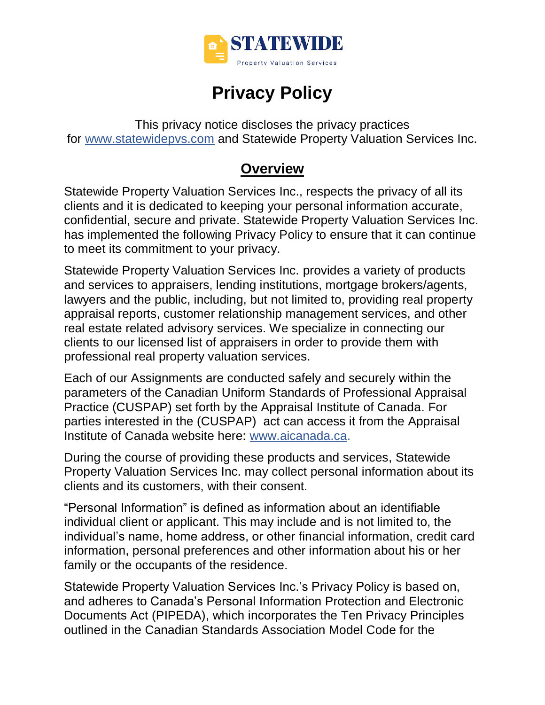

# **Privacy Policy**

This privacy notice discloses the privacy practices for [www.statewidepvs.com](http://www.statewidepvs.com/) and Statewide Property Valuation Services Inc.

### **Overview**

Statewide Property Valuation Services Inc., respects the privacy of all its clients and it is dedicated to keeping your personal information accurate, confidential, secure and private. Statewide Property Valuation Services Inc. has implemented the following Privacy Policy to ensure that it can continue to meet its commitment to your privacy.

Statewide Property Valuation Services Inc. provides a variety of products and services to appraisers, lending institutions, mortgage brokers/agents, lawyers and the public, including, but not limited to, providing real property appraisal reports, customer relationship management services, and other real estate related advisory services. We specialize in connecting our clients to our licensed list of appraisers in order to provide them with professional real property valuation services.

Each of our Assignments are conducted safely and securely within the parameters of the Canadian Uniform Standards of Professional Appraisal Practice (CUSPAP) set forth by the Appraisal Institute of Canada. For parties interested in the (CUSPAP) act can access it from the Appraisal Institute of Canada website here: [www.aicanada.ca.](http://www.aicanada.ca/)

During the course of providing these products and services, Statewide Property Valuation Services Inc. may collect personal information about its clients and its customers, with their consent.

"Personal Information" is defined as information about an identifiable individual client or applicant. This may include and is not limited to, the individual's name, home address, or other financial information, credit card information, personal preferences and other information about his or her family or the occupants of the residence.

Statewide Property Valuation Services Inc.'s Privacy Policy is based on, and adheres to Canada's Personal Information Protection and Electronic Documents Act (PIPEDA), which incorporates the Ten Privacy Principles outlined in the Canadian Standards Association Model Code for the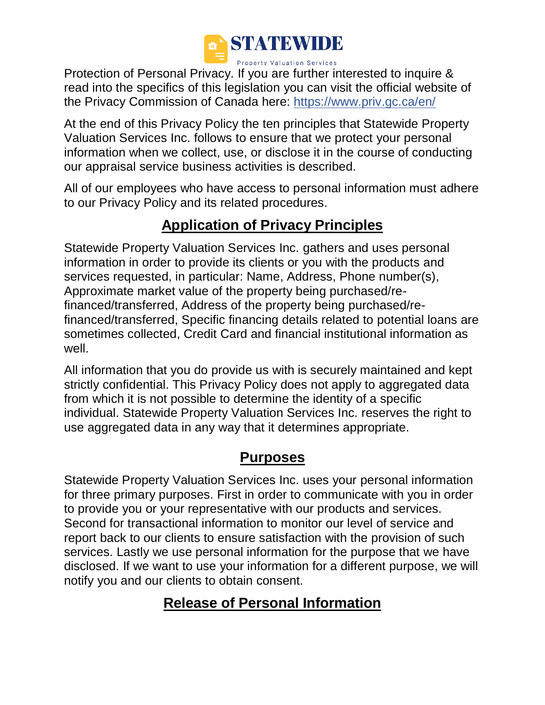

Protection of Personal Privacy. If you are further interested to inquire & read into the specifics of this legislation you can visit the official website of the Privacy Commission of Canada here:<https://www.priv.gc.ca/en/>

At the end of this Privacy Policy the ten principles that Statewide Property Valuation Services Inc. follows to ensure that we protect your personal information when we collect, use, or disclose it in the course of conducting our appraisal service business activities is described.

All of our employees who have access to personal information must adhere to our Privacy Policy and its related procedures.

# **Application of Privacy Principles**

Statewide Property Valuation Services Inc. gathers and uses personal information in order to provide its clients or you with the products and services requested, in particular: Name, Address, Phone number(s), Approximate market value of the property being purchased/refinanced/transferred, Address of the property being purchased/refinanced/transferred, Specific financing details related to potential loans are sometimes collected, Credit Card and financial institutional information as well.

All information that you do provide us with is securely maintained and kept strictly confidential. This Privacy Policy does not apply to aggregated data from which it is not possible to determine the identity of a specific individual. Statewide Property Valuation Services Inc. reserves the right to use aggregated data in any way that it determines appropriate.

# **Purposes**

Statewide Property Valuation Services Inc. uses your personal information for three primary purposes. First in order to communicate with you in order to provide you or your representative with our products and services. Second for transactional information to monitor our level of service and report back to our clients to ensure satisfaction with the provision of such services. Lastly we use personal information for the purpose that we have disclosed. If we want to use your information for a different purpose, we will notify you and our clients to obtain consent.

# **Release of Personal Information**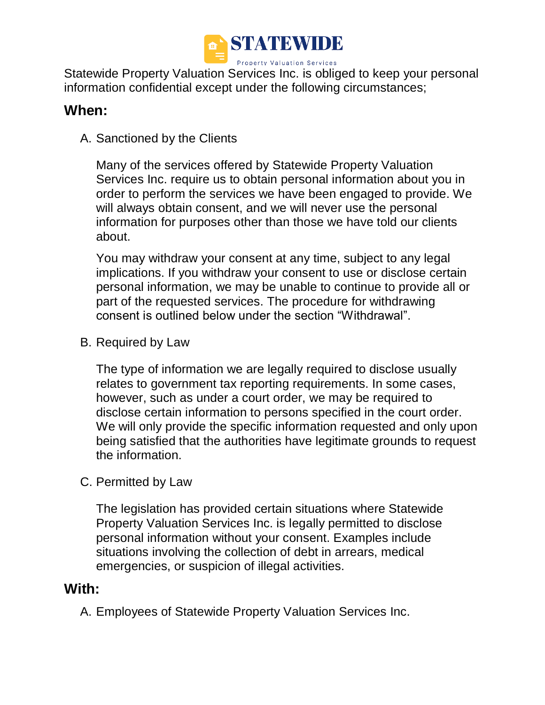

Statewide Property Valuation Services Inc. is obliged to keep your personal information confidential except under the following circumstances;

### **When:**

A. Sanctioned by the Clients

Many of the services offered by Statewide Property Valuation Services Inc. require us to obtain personal information about you in order to perform the services we have been engaged to provide. We will always obtain consent, and we will never use the personal information for purposes other than those we have told our clients about.

You may withdraw your consent at any time, subject to any legal implications. If you withdraw your consent to use or disclose certain personal information, we may be unable to continue to provide all or part of the requested services. The procedure for withdrawing consent is outlined below under the section "Withdrawal".

#### B. Required by Law

The type of information we are legally required to disclose usually relates to government tax reporting requirements. In some cases, however, such as under a court order, we may be required to disclose certain information to persons specified in the court order. We will only provide the specific information requested and only upon being satisfied that the authorities have legitimate grounds to request the information.

C. Permitted by Law

The legislation has provided certain situations where Statewide Property Valuation Services Inc. is legally permitted to disclose personal information without your consent. Examples include situations involving the collection of debt in arrears, medical emergencies, or suspicion of illegal activities.

#### **With:**

A. Employees of Statewide Property Valuation Services Inc.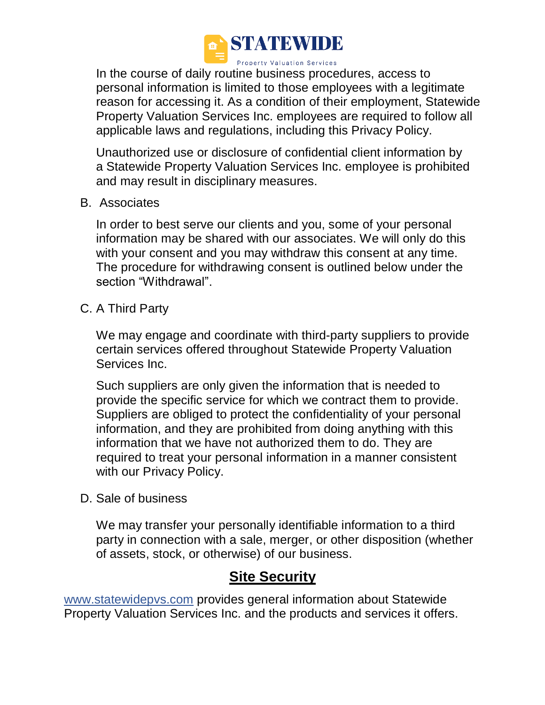

In the course of daily routine business procedures, access to personal information is limited to those employees with a legitimate reason for accessing it. As a condition of their employment, Statewide Property Valuation Services Inc. employees are required to follow all applicable laws and regulations, including this Privacy Policy.

Unauthorized use or disclosure of confidential client information by a Statewide Property Valuation Services Inc. employee is prohibited and may result in disciplinary measures.

B. Associates

In order to best serve our clients and you, some of your personal information may be shared with our associates. We will only do this with your consent and you may withdraw this consent at any time. The procedure for withdrawing consent is outlined below under the section "Withdrawal".

C. A Third Party

We may engage and coordinate with third-party suppliers to provide certain services offered throughout Statewide Property Valuation Services Inc.

Such suppliers are only given the information that is needed to provide the specific service for which we contract them to provide. Suppliers are obliged to protect the confidentiality of your personal information, and they are prohibited from doing anything with this information that we have not authorized them to do. They are required to treat your personal information in a manner consistent with our Privacy Policy.

D. Sale of business

We may transfer your personally identifiable information to a third party in connection with a sale, merger, or other disposition (whether of assets, stock, or otherwise) of our business.

### **Site Security**

[www.statewidepvs.com](http://www.statewidepvs.com/) provides general information about Statewide Property Valuation Services Inc. and the products and services it offers.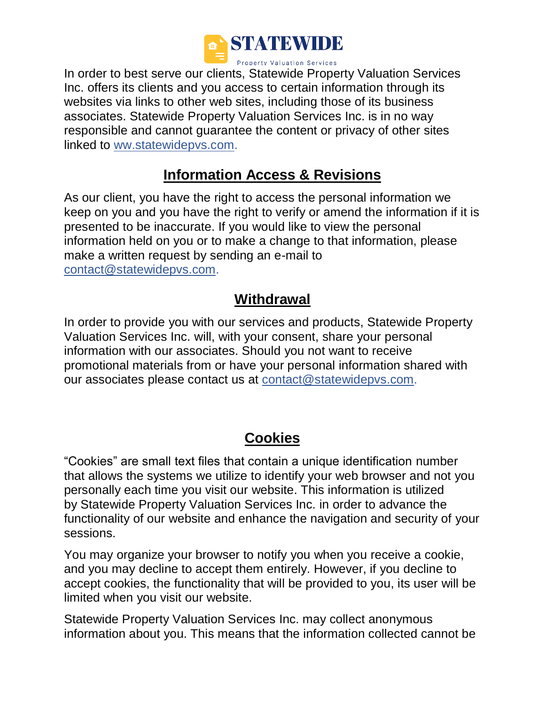

In order to best serve our clients, Statewide Property Valuation Services Inc. offers its clients and you access to certain information through its websites via links to other web sites, including those of its business associates. Statewide Property Valuation Services Inc. is in no way responsible and cannot guarantee the content or privacy of other sites linked to ww.statewidepvs.com.

# **Information Access & Revisions**

As our client, you have the right to access the personal information we keep on you and you have the right to verify or amend the information if it is presented to be inaccurate. If you would like to view the personal information held on you or to make a change to that information, please make a written request by sending an e-mail to [contact@statewidepvs.com.](mailto:contact@statewidepvs.com)

# **Withdrawal**

In order to provide you with our services and products, Statewide Property Valuation Services Inc. will, with your consent, share your personal information with our associates. Should you not want to receive promotional materials from or have your personal information shared with our associates please contact us at contact@statewidepvs.com.

# **Cookies**

"Cookies" are small text files that contain a unique identification number that allows the systems we utilize to identify your web browser and not you personally each time you visit our website. This information is utilized by Statewide Property Valuation Services Inc. in order to advance the functionality of our website and enhance the navigation and security of your sessions.

You may organize your browser to notify you when you receive a cookie, and you may decline to accept them entirely. However, if you decline to accept cookies, the functionality that will be provided to you, its user will be limited when you visit our website.

Statewide Property Valuation Services Inc. may collect anonymous information about you. This means that the information collected cannot be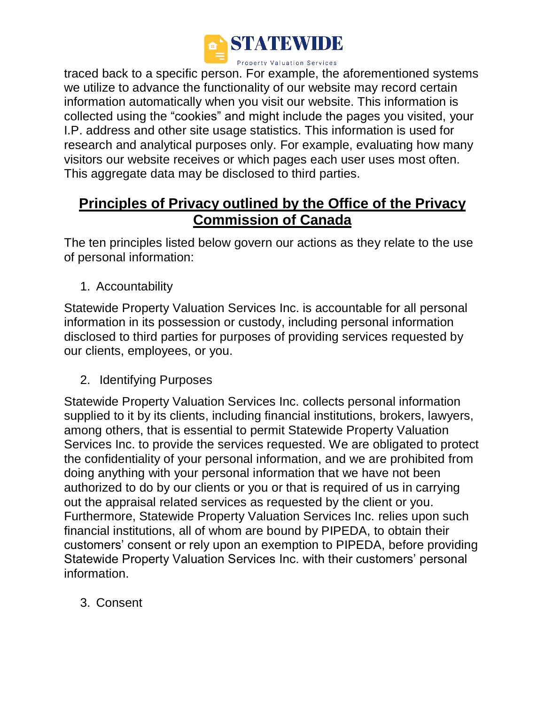

traced back to a specific person. For example, the aforementioned systems we utilize to advance the functionality of our website may record certain information automatically when you visit our website. This information is collected using the "cookies" and might include the pages you visited, your I.P. address and other site usage statistics. This information is used for research and analytical purposes only. For example, evaluating how many visitors our website receives or which pages each user uses most often. This aggregate data may be disclosed to third parties.

# **Principles of Privacy outlined by the Office of the Privacy Commission of Canada**

The ten principles listed below govern our actions as they relate to the use of personal information:

1. Accountability

Statewide Property Valuation Services Inc. is accountable for all personal information in its possession or custody, including personal information disclosed to third parties for purposes of providing services requested by our clients, employees, or you.

2. Identifying Purposes

Statewide Property Valuation Services Inc. collects personal information supplied to it by its clients, including financial institutions, brokers, lawyers, among others, that is essential to permit Statewide Property Valuation Services Inc. to provide the services requested. We are obligated to protect the confidentiality of your personal information, and we are prohibited from doing anything with your personal information that we have not been authorized to do by our clients or you or that is required of us in carrying out the appraisal related services as requested by the client or you. Furthermore, Statewide Property Valuation Services Inc. relies upon such financial institutions, all of whom are bound by PIPEDA, to obtain their customers' consent or rely upon an exemption to PIPEDA, before providing Statewide Property Valuation Services Inc. with their customers' personal information.

3. Consent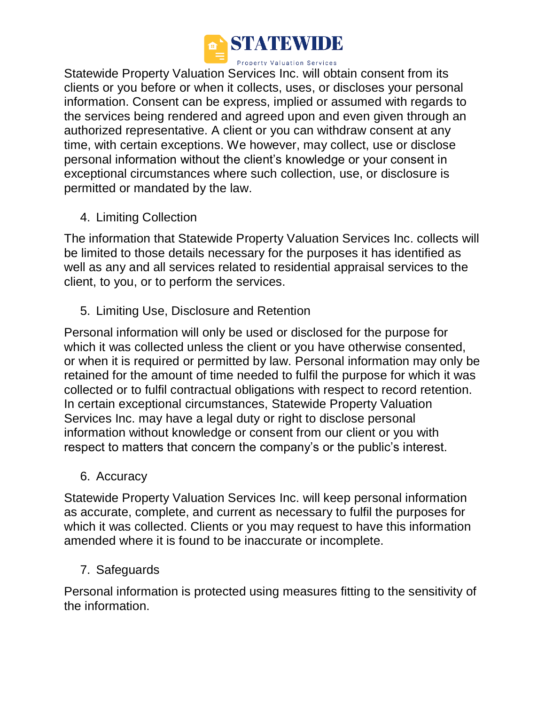

Statewide Property Valuation Services Inc. will obtain consent from its clients or you before or when it collects, uses, or discloses your personal information. Consent can be express, implied or assumed with regards to the services being rendered and agreed upon and even given through an authorized representative. A client or you can withdraw consent at any time, with certain exceptions. We however, may collect, use or disclose personal information without the client's knowledge or your consent in exceptional circumstances where such collection, use, or disclosure is permitted or mandated by the law.

4. Limiting Collection

The information that Statewide Property Valuation Services Inc. collects will be limited to those details necessary for the purposes it has identified as well as any and all services related to residential appraisal services to the client, to you, or to perform the services.

5. Limiting Use, Disclosure and Retention

Personal information will only be used or disclosed for the purpose for which it was collected unless the client or you have otherwise consented, or when it is required or permitted by law. Personal information may only be retained for the amount of time needed to fulfil the purpose for which it was collected or to fulfil contractual obligations with respect to record retention. In certain exceptional circumstances, Statewide Property Valuation Services Inc. may have a legal duty or right to disclose personal information without knowledge or consent from our client or you with respect to matters that concern the company's or the public's interest.

6. Accuracy

Statewide Property Valuation Services Inc. will keep personal information as accurate, complete, and current as necessary to fulfil the purposes for which it was collected. Clients or you may request to have this information amended where it is found to be inaccurate or incomplete.

7. Safeguards

Personal information is protected using measures fitting to the sensitivity of the information.